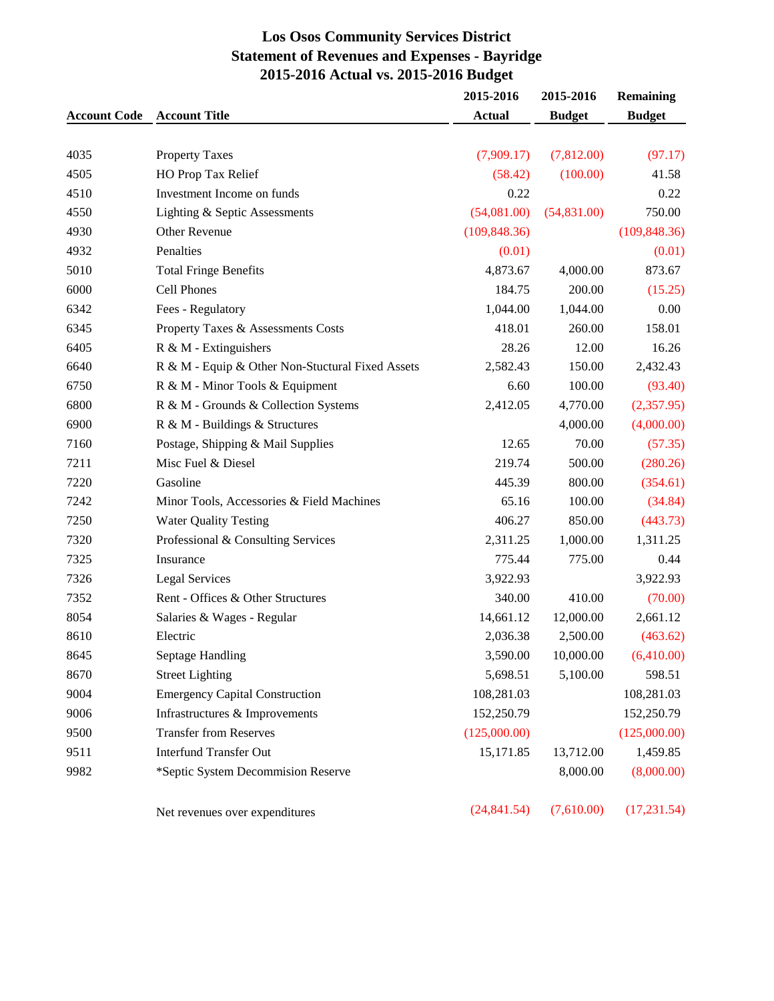# **Los Osos Community Services District Statement of Revenues and Expenses - Bayridge 2015-2016 Actual vs. 2015-2016 Budget**

|                     |                                                  | 2015-2016     | 2015-2016     | <b>Remaining</b> |
|---------------------|--------------------------------------------------|---------------|---------------|------------------|
| <b>Account Code</b> | <b>Account Title</b>                             | <b>Actual</b> | <b>Budget</b> | <b>Budget</b>    |
|                     |                                                  |               |               |                  |
| 4035                | <b>Property Taxes</b>                            | (7,909.17)    | (7,812.00)    | (97.17)          |
| 4505                | HO Prop Tax Relief                               | (58.42)       | (100.00)      | 41.58            |
| 4510                | Investment Income on funds                       | 0.22          |               | 0.22             |
| 4550                | Lighting & Septic Assessments                    | (54,081.00)   | (54, 831.00)  | 750.00           |
| 4930                | Other Revenue                                    | (109, 848.36) |               | (109, 848.36)    |
| 4932                | Penalties                                        | (0.01)        |               | (0.01)           |
| 5010                | <b>Total Fringe Benefits</b>                     | 4,873.67      | 4,000.00      | 873.67           |
| 6000                | Cell Phones                                      | 184.75        | 200.00        | (15.25)          |
| 6342                | Fees - Regulatory                                | 1,044.00      | 1,044.00      | 0.00             |
| 6345                | Property Taxes & Assessments Costs               | 418.01        | 260.00        | 158.01           |
| 6405                | R & M - Extinguishers                            | 28.26         | 12.00         | 16.26            |
| 6640                | R & M - Equip & Other Non-Stuctural Fixed Assets | 2,582.43      | 150.00        | 2,432.43         |
| 6750                | R & M - Minor Tools & Equipment                  | 6.60          | 100.00        | (93.40)          |
| 6800                | R & M - Grounds & Collection Systems             | 2,412.05      | 4,770.00      | (2,357.95)       |
| 6900                | R & M - Buildings & Structures                   |               | 4,000.00      | (4,000.00)       |
| 7160                | Postage, Shipping & Mail Supplies                | 12.65         | 70.00         | (57.35)          |
| 7211                | Misc Fuel & Diesel                               | 219.74        | 500.00        | (280.26)         |
| 7220                | Gasoline                                         | 445.39        | 800.00        | (354.61)         |
| 7242                | Minor Tools, Accessories & Field Machines        | 65.16         | 100.00        | (34.84)          |
| 7250                | <b>Water Quality Testing</b>                     | 406.27        | 850.00        | (443.73)         |
| 7320                | Professional & Consulting Services               | 2,311.25      | 1,000.00      | 1,311.25         |
| 7325                | Insurance                                        | 775.44        | 775.00        | 0.44             |
| 7326                | <b>Legal Services</b>                            | 3,922.93      |               | 3,922.93         |
| 7352                | Rent - Offices & Other Structures                | 340.00        | 410.00        | (70.00)          |
| 8054                | Salaries & Wages - Regular                       | 14,661.12     | 12,000.00     | 2,661.12         |
| 8610                | Electric                                         | 2,036.38      | 2,500.00      | (463.62)         |
| 8645                | Septage Handling                                 | 3,590.00      | 10,000.00     | (6,410.00)       |
| 8670                | <b>Street Lighting</b>                           | 5,698.51      | 5,100.00      | 598.51           |
| 9004                | <b>Emergency Capital Construction</b>            | 108,281.03    |               | 108,281.03       |
| 9006                | Infrastructures & Improvements                   | 152,250.79    |               | 152,250.79       |
| 9500                | <b>Transfer from Reserves</b>                    | (125,000.00)  |               | (125,000.00)     |
| 9511                | <b>Interfund Transfer Out</b>                    | 15,171.85     | 13,712.00     | 1,459.85         |
| 9982                | *Septic System Decommision Reserve               |               | 8,000.00      | (8,000.00)       |
|                     | Net revenues over expenditures                   | (24, 841.54)  | (7,610.00)    | (17, 231.54)     |
|                     |                                                  |               |               |                  |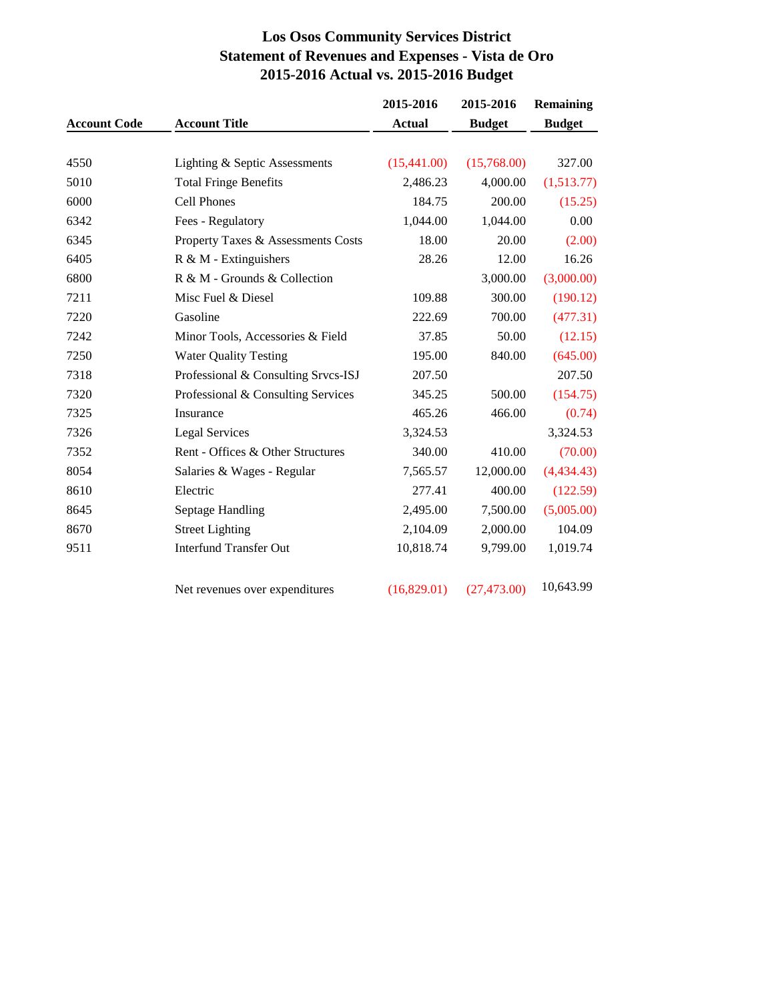# **Los Osos Community Services District Statement of Revenues and Expenses - Vista de Oro 2015-2016 Actual vs. 2015-2016 Budget**

|                     |                                     | 2015-2016     | 2015-2016     | <b>Remaining</b> |
|---------------------|-------------------------------------|---------------|---------------|------------------|
| <b>Account Code</b> | <b>Account Title</b>                | <b>Actual</b> | <b>Budget</b> | <b>Budget</b>    |
|                     |                                     |               |               |                  |
| 4550                | Lighting & Septic Assessments       | (15,441.00)   | (15,768.00)   | 327.00           |
| 5010                | <b>Total Fringe Benefits</b>        | 2,486.23      | 4,000.00      | (1,513.77)       |
| 6000                | <b>Cell Phones</b>                  | 184.75        | 200.00        | (15.25)          |
| 6342                | Fees - Regulatory                   | 1,044.00      | 1,044.00      | 0.00             |
| 6345                | Property Taxes & Assessments Costs  | 18.00         | 20.00         | (2.00)           |
| 6405                | $R \& M$ - Extinguishers            | 28.26         | 12.00         | 16.26            |
| 6800                | R & M - Grounds & Collection        |               | 3,000.00      | (3,000.00)       |
| 7211                | Misc Fuel & Diesel                  | 109.88        | 300.00        | (190.12)         |
| 7220                | Gasoline                            | 222.69        | 700.00        | (477.31)         |
| 7242                | Minor Tools, Accessories & Field    | 37.85         | 50.00         | (12.15)          |
| 7250                | <b>Water Quality Testing</b>        | 195.00        | 840.00        | (645.00)         |
| 7318                | Professional & Consulting Srvcs-ISJ | 207.50        |               | 207.50           |
| 7320                | Professional & Consulting Services  | 345.25        | 500.00        | (154.75)         |
| 7325                | Insurance                           | 465.26        | 466.00        | (0.74)           |
| 7326                | <b>Legal Services</b>               | 3,324.53      |               | 3,324.53         |
| 7352                | Rent - Offices & Other Structures   | 340.00        | 410.00        | (70.00)          |
| 8054                | Salaries & Wages - Regular          | 7,565.57      | 12,000.00     | (4,434.43)       |
| 8610                | Electric                            | 277.41        | 400.00        | (122.59)         |
| 8645                | Septage Handling                    | 2,495.00      | 7,500.00      | (5,005.00)       |
| 8670                | <b>Street Lighting</b>              | 2,104.09      | 2,000.00      | 104.09           |
| 9511                | <b>Interfund Transfer Out</b>       | 10,818.74     | 9,799.00      | 1,019.74         |
|                     | Net revenues over expenditures      | (16,829.01)   | (27, 473.00)  | 10,643.99        |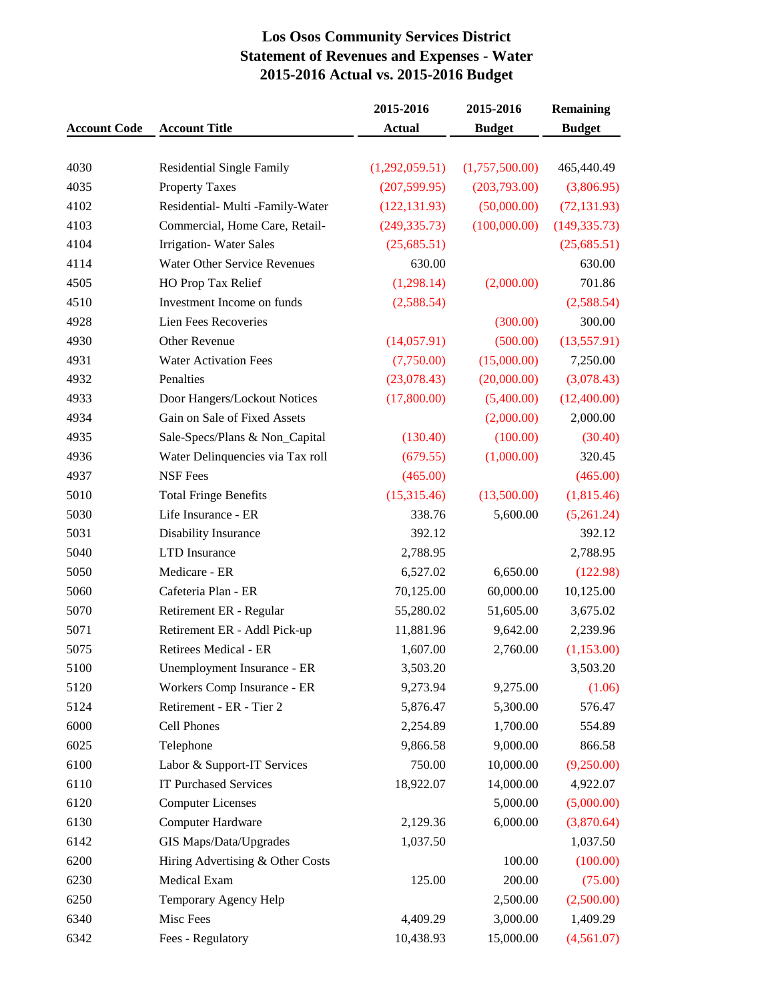# **Los Osos Community Services District Statement of Revenues and Expenses - Water 2015-2016 Actual vs. 2015-2016 Budget**

|                     |                                     | 2015-2016      | 2015-2016      | <b>Remaining</b> |  |  |
|---------------------|-------------------------------------|----------------|----------------|------------------|--|--|
| <b>Account Code</b> | <b>Account Title</b>                | <b>Actual</b>  | <b>Budget</b>  | <b>Budget</b>    |  |  |
|                     |                                     |                |                |                  |  |  |
| 4030                | <b>Residential Single Family</b>    | (1,292,059.51) | (1,757,500.00) | 465,440.49       |  |  |
| 4035                | <b>Property Taxes</b>               | (207, 599.95)  | (203,793.00)   | (3,806.95)       |  |  |
| 4102                | Residential- Multi -Family-Water    | (122, 131.93)  | (50,000.00)    | (72, 131.93)     |  |  |
| 4103                | Commercial, Home Care, Retail-      | (249, 335.73)  | (100,000.00)   | (149, 335.73)    |  |  |
| 4104                | <b>Irrigation-Water Sales</b>       | (25,685.51)    |                | (25,685.51)      |  |  |
| 4114                | <b>Water Other Service Revenues</b> | 630.00         |                | 630.00           |  |  |
| 4505                | HO Prop Tax Relief                  | (1,298.14)     | (2,000.00)     | 701.86           |  |  |
| 4510                | Investment Income on funds          | (2,588.54)     |                | (2,588.54)       |  |  |
| 4928                | Lien Fees Recoveries                |                | (300.00)       | 300.00           |  |  |
| 4930                | Other Revenue                       | (14, 057.91)   | (500.00)       | (13,557.91)      |  |  |
| 4931                | <b>Water Activation Fees</b>        | (7,750.00)     | (15,000.00)    | 7,250.00         |  |  |
| 4932                | Penalties                           | (23,078.43)    | (20,000.00)    | (3,078.43)       |  |  |
| 4933                | Door Hangers/Lockout Notices        | (17,800.00)    | (5,400.00)     | (12,400.00)      |  |  |
| 4934                | Gain on Sale of Fixed Assets        |                | (2,000.00)     | 2,000.00         |  |  |
| 4935                | Sale-Specs/Plans & Non_Capital      | (130.40)       | (100.00)       | (30.40)          |  |  |
| 4936                | Water Delinquencies via Tax roll    | (679.55)       | (1,000.00)     | 320.45           |  |  |
| 4937                | <b>NSF</b> Fees                     | (465.00)       |                | (465.00)         |  |  |
| 5010                | <b>Total Fringe Benefits</b>        | (15,315.46)    | (13,500.00)    | (1,815.46)       |  |  |
| 5030                | Life Insurance - ER                 | 338.76         | 5,600.00       | (5,261.24)       |  |  |
| 5031                | Disability Insurance                | 392.12         |                | 392.12           |  |  |
| 5040                | <b>LTD</b> Insurance                | 2,788.95       |                | 2,788.95         |  |  |
| 5050                | Medicare - ER                       | 6,527.02       | 6,650.00       | (122.98)         |  |  |
| 5060                | Cafeteria Plan - ER                 | 70,125.00      | 60,000.00      | 10,125.00        |  |  |
| 5070                | Retirement ER - Regular             | 55,280.02      | 51,605.00      | 3,675.02         |  |  |
| 5071                | Retirement ER - Addl Pick-up        | 11,881.96      | 9,642.00       | 2,239.96         |  |  |
| 5075                | Retirees Medical - ER               | 1,607.00       | 2,760.00       | (1,153.00)       |  |  |
| 5100                | Unemployment Insurance - ER         | 3,503.20       |                | 3,503.20         |  |  |
| 5120                | Workers Comp Insurance - ER         | 9,273.94       | 9,275.00       | (1.06)           |  |  |
| 5124                | Retirement - ER - Tier 2            | 5,876.47       | 5,300.00       | 576.47           |  |  |
| 6000                | Cell Phones                         | 2,254.89       | 1,700.00       | 554.89           |  |  |
| 6025                | Telephone                           | 9,866.58       | 9,000.00       | 866.58           |  |  |
| 6100                | Labor & Support-IT Services         | 750.00         | 10,000.00      | (9,250.00)       |  |  |
| 6110                | <b>IT Purchased Services</b>        | 18,922.07      | 14,000.00      | 4,922.07         |  |  |
| 6120                | <b>Computer Licenses</b>            |                | 5,000.00       | (5,000.00)       |  |  |
| 6130                | Computer Hardware                   | 2,129.36       | 6,000.00       | (3,870.64)       |  |  |
| 6142                | GIS Maps/Data/Upgrades              | 1,037.50       |                | 1,037.50         |  |  |
| 6200                | Hiring Advertising & Other Costs    |                | 100.00         | (100.00)         |  |  |
| 6230                | Medical Exam                        | 125.00         | 200.00         | (75.00)          |  |  |
| 6250                | Temporary Agency Help               |                | 2,500.00       | (2,500.00)       |  |  |
| 6340                | Misc Fees                           | 4,409.29       | 3,000.00       | 1,409.29         |  |  |
| 6342                | Fees - Regulatory                   | 10,438.93      | 15,000.00      | (4,561.07)       |  |  |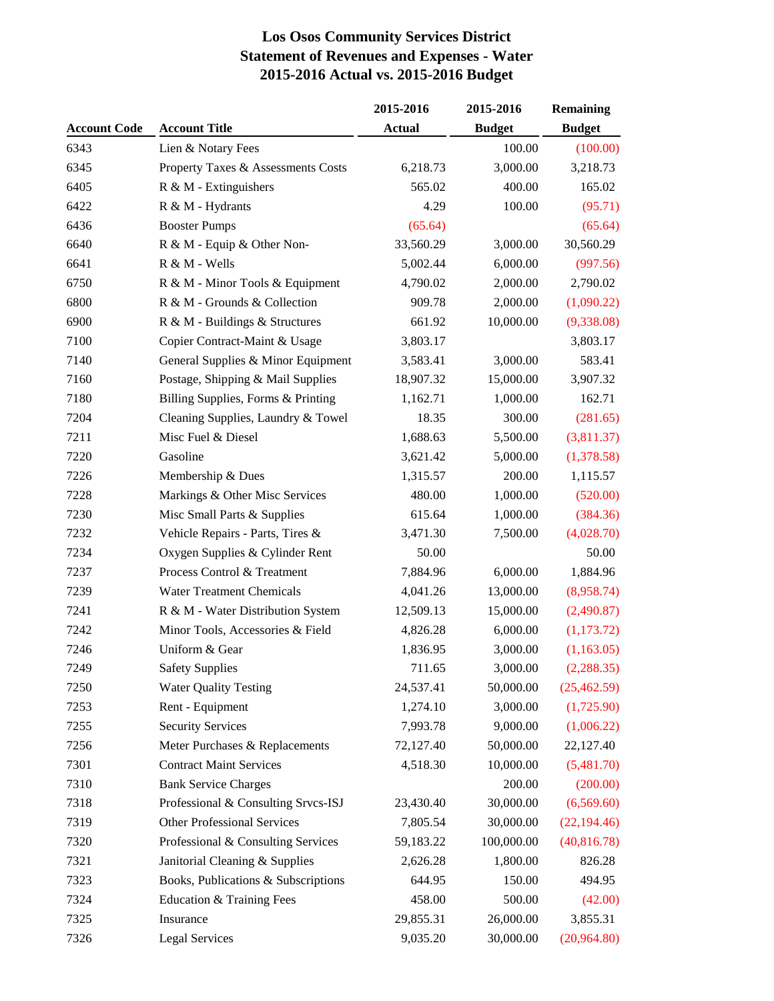# **Los Osos Community Services District Statement of Revenues and Expenses - Water 2015-2016 Actual vs. 2015-2016 Budget**

|                     |                                     | 2015-2016     | 2015-2016     | <b>Remaining</b> |  |  |
|---------------------|-------------------------------------|---------------|---------------|------------------|--|--|
| <b>Account Code</b> | <b>Account Title</b>                | <b>Actual</b> | <b>Budget</b> | <b>Budget</b>    |  |  |
| 6343                | Lien & Notary Fees                  |               | 100.00        | (100.00)         |  |  |
| 6345                | Property Taxes & Assessments Costs  | 6,218.73      | 3,000.00      | 3,218.73         |  |  |
| 6405                | $R \& M$ - Extinguishers            | 565.02        | 400.00        | 165.02           |  |  |
| 6422                | R & M - Hydrants                    | 4.29          | 100.00        | (95.71)          |  |  |
| 6436                | <b>Booster Pumps</b>                | (65.64)       |               | (65.64)          |  |  |
| 6640                | R & M - Equip & Other Non-          | 33,560.29     | 3,000.00      | 30,560.29        |  |  |
| 6641                | R & M - Wells                       | 5,002.44      | 6,000.00      | (997.56)         |  |  |
| 6750                | R & M - Minor Tools & Equipment     | 4,790.02      | 2,000.00      | 2,790.02         |  |  |
| 6800                | R & M - Grounds & Collection        | 909.78        | 2,000.00      | (1,090.22)       |  |  |
| 6900                | R & M - Buildings & Structures      | 661.92        | 10,000.00     | (9,338.08)       |  |  |
| 7100                | Copier Contract-Maint & Usage       | 3,803.17      |               | 3,803.17         |  |  |
| 7140                | General Supplies & Minor Equipment  | 3,583.41      | 3,000.00      | 583.41           |  |  |
| 7160                | Postage, Shipping & Mail Supplies   | 18,907.32     | 15,000.00     | 3,907.32         |  |  |
| 7180                | Billing Supplies, Forms & Printing  | 1,162.71      | 1,000.00      | 162.71           |  |  |
| 7204                | Cleaning Supplies, Laundry & Towel  | 18.35         | 300.00        | (281.65)         |  |  |
| 7211                | Misc Fuel & Diesel                  | 1,688.63      | 5,500.00      | (3,811.37)       |  |  |
| 7220                | Gasoline                            | 3,621.42      | 5,000.00      | (1,378.58)       |  |  |
| 7226                | Membership & Dues                   | 1,315.57      | 200.00        | 1,115.57         |  |  |
| 7228                | Markings & Other Misc Services      | 480.00        | 1,000.00      | (520.00)         |  |  |
| 7230                | Misc Small Parts & Supplies         | 615.64        | 1,000.00      | (384.36)         |  |  |
| 7232                | Vehicle Repairs - Parts, Tires &    | 3,471.30      | 7,500.00      | (4,028.70)       |  |  |
| 7234                | Oxygen Supplies & Cylinder Rent     | 50.00         |               | 50.00            |  |  |
| 7237                | Process Control & Treatment         | 7,884.96      | 6,000.00      | 1,884.96         |  |  |
| 7239                | <b>Water Treatment Chemicals</b>    | 4,041.26      | 13,000.00     | (8,958.74)       |  |  |
| 7241                | R & M - Water Distribution System   | 12,509.13     | 15,000.00     | (2,490.87)       |  |  |
| 7242                | Minor Tools, Accessories & Field    | 4,826.28      | 6,000.00      | (1,173.72)       |  |  |
| 7246                | Uniform & Gear                      | 1,836.95      | 3,000.00      | (1,163.05)       |  |  |
| 7249                | <b>Safety Supplies</b>              | 711.65        | 3,000.00      | (2, 288.35)      |  |  |
| 7250                | <b>Water Quality Testing</b>        | 24,537.41     | 50,000.00     | (25, 462.59)     |  |  |
| 7253                | Rent - Equipment                    | 1,274.10      | 3,000.00      | (1,725.90)       |  |  |
| 7255                | <b>Security Services</b>            | 7,993.78      | 9,000.00      | (1,006.22)       |  |  |
| 7256                | Meter Purchases & Replacements      | 72,127.40     | 50,000.00     | 22,127.40        |  |  |
| 7301                | <b>Contract Maint Services</b>      | 4,518.30      | 10,000.00     | (5,481.70)       |  |  |
| 7310                | <b>Bank Service Charges</b>         |               | 200.00        | (200.00)         |  |  |
| 7318                | Professional & Consulting Srvcs-ISJ | 23,430.40     | 30,000.00     | (6,569.60)       |  |  |
| 7319                | <b>Other Professional Services</b>  | 7,805.54      | 30,000.00     | (22, 194.46)     |  |  |
| 7320                | Professional & Consulting Services  | 59,183.22     | 100,000.00    | (40, 816.78)     |  |  |
| 7321                | Janitorial Cleaning & Supplies      | 2,626.28      | 1,800.00      | 826.28           |  |  |
| 7323                | Books, Publications & Subscriptions | 644.95        | 150.00        | 494.95           |  |  |
| 7324                | Education & Training Fees           | 458.00        | 500.00        | (42.00)          |  |  |
| 7325                | Insurance                           | 29,855.31     | 26,000.00     | 3,855.31         |  |  |
| 7326                | <b>Legal Services</b>               | 9,035.20      | 30,000.00     | (20,964.80)      |  |  |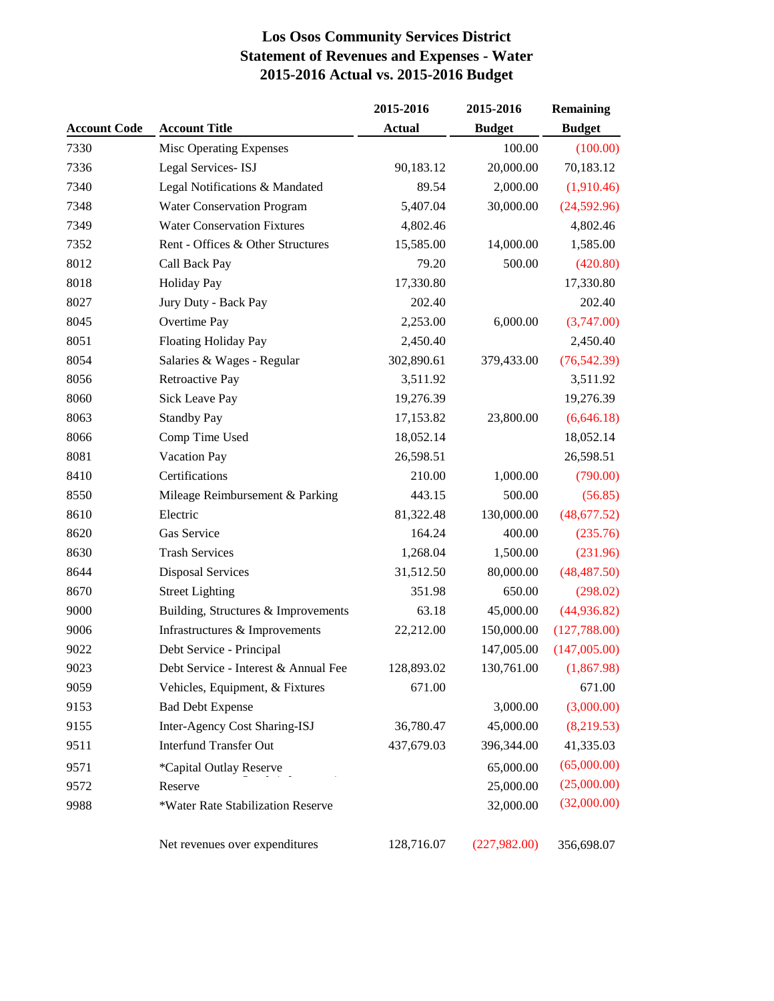# **Los Osos Community Services District Statement of Revenues and Expenses - Water 2015-2016 Actual vs. 2015-2016 Budget**

|                     |                                      | 2015-2016     | 2015-2016     | <b>Remaining</b> |
|---------------------|--------------------------------------|---------------|---------------|------------------|
| <b>Account Code</b> | <b>Account Title</b>                 | <b>Actual</b> | <b>Budget</b> | <b>Budget</b>    |
| 7330                | Misc Operating Expenses              |               | 100.00        | (100.00)         |
| 7336                | Legal Services-ISJ                   | 90,183.12     | 20,000.00     | 70,183.12        |
| 7340                | Legal Notifications & Mandated       | 89.54         | 2,000.00      | (1,910.46)       |
| 7348                | <b>Water Conservation Program</b>    | 5,407.04      | 30,000.00     | (24,592.96)      |
| 7349                | <b>Water Conservation Fixtures</b>   | 4,802.46      |               | 4,802.46         |
| 7352                | Rent - Offices & Other Structures    | 15,585.00     | 14,000.00     | 1,585.00         |
| 8012                | Call Back Pay                        | 79.20         | 500.00        | (420.80)         |
| 8018                | <b>Holiday Pay</b>                   | 17,330.80     |               | 17,330.80        |
| 8027                | Jury Duty - Back Pay                 | 202.40        |               | 202.40           |
| 8045                | Overtime Pay                         | 2,253.00      | 6,000.00      | (3,747.00)       |
| 8051                | <b>Floating Holiday Pay</b>          | 2,450.40      |               | 2,450.40         |
| 8054                | Salaries & Wages - Regular           | 302,890.61    | 379,433.00    | (76, 542.39)     |
| 8056                | Retroactive Pay                      | 3,511.92      |               | 3,511.92         |
| 8060                | <b>Sick Leave Pay</b>                | 19,276.39     |               | 19,276.39        |
| 8063                | <b>Standby Pay</b>                   | 17,153.82     | 23,800.00     | (6,646.18)       |
| 8066                | Comp Time Used                       | 18,052.14     |               | 18,052.14        |
| 8081                | Vacation Pay                         | 26,598.51     |               | 26,598.51        |
| 8410                | Certifications                       | 210.00        | 1,000.00      | (790.00)         |
| 8550                | Mileage Reimbursement & Parking      | 443.15        | 500.00        | (56.85)          |
| 8610                | Electric                             | 81,322.48     | 130,000.00    | (48,677.52)      |
| 8620                | Gas Service                          | 164.24        | 400.00        | (235.76)         |
| 8630                | <b>Trash Services</b>                | 1,268.04      | 1,500.00      | (231.96)         |
| 8644                | <b>Disposal Services</b>             | 31,512.50     | 80,000.00     | (48, 487.50)     |
| 8670                | <b>Street Lighting</b>               | 351.98        | 650.00        | (298.02)         |
| 9000                | Building, Structures & Improvements  | 63.18         | 45,000.00     | (44, 936.82)     |
| 9006                | Infrastructures & Improvements       | 22,212.00     | 150,000.00    | (127,788.00)     |
| 9022                | Debt Service - Principal             |               | 147,005.00    | (147,005.00)     |
| 9023                | Debt Service - Interest & Annual Fee | 128,893.02    | 130,761.00    | (1,867.98)       |
| 9059                | Vehicles, Equipment, & Fixtures      | 671.00        |               | 671.00           |
| 9153                | <b>Bad Debt Expense</b>              |               | 3,000.00      | (3,000.00)       |
| 9155                | Inter-Agency Cost Sharing-ISJ        | 36,780.47     | 45,000.00     | (8,219.53)       |
| 9511                | <b>Interfund Transfer Out</b>        | 437,679.03    | 396,344.00    | 41,335.03        |
| 9571                | *Capital Outlay Reserve              |               | 65,000.00     | (65,000.00)      |
| 9572                | Reserve                              |               | 25,000.00     | (25,000.00)      |
| 9988                | *Water Rate Stabilization Reserve    |               | 32,000.00     | (32,000.00)      |
|                     | Net revenues over expenditures       | 128,716.07    | (227,982.00)  | 356,698.07       |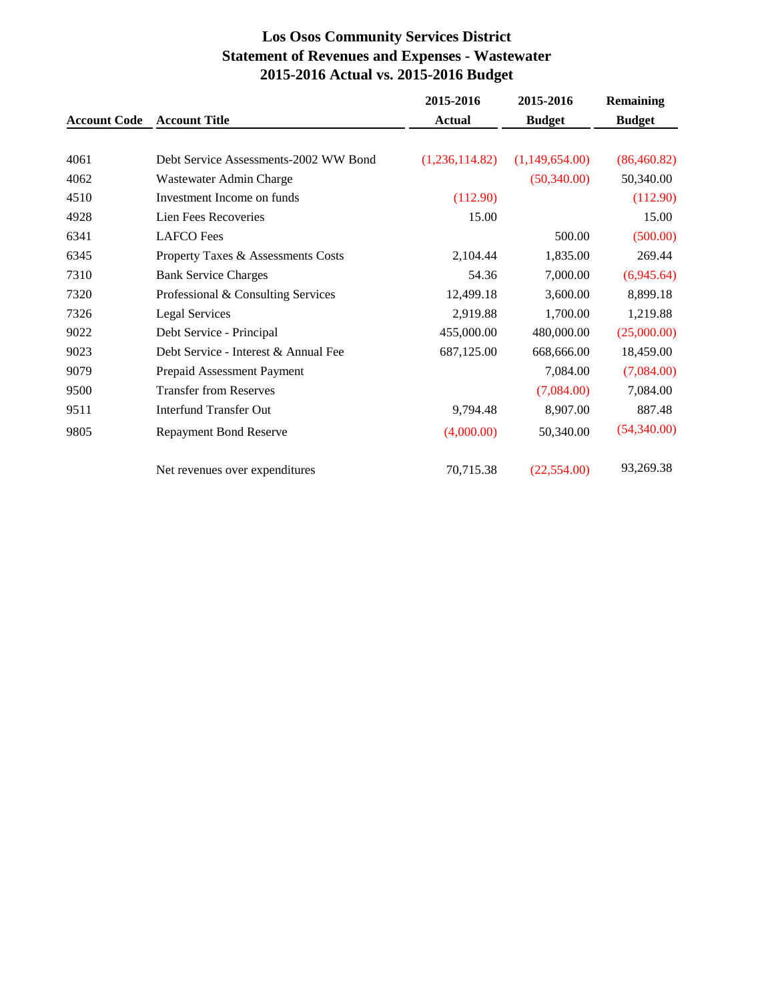# **Los Osos Community Services District Statement of Revenues and Expenses - Wastewater 2015-2016 Actual vs. 2015-2016 Budget**

|                     |                                       | 2015-2016      | 2015-2016      | <b>Remaining</b> |
|---------------------|---------------------------------------|----------------|----------------|------------------|
| <b>Account Code</b> | <b>Account Title</b>                  | <b>Actual</b>  | <b>Budget</b>  | <b>Budget</b>    |
| 4061                | Debt Service Assessments-2002 WW Bond | (1,236,114.82) | (1,149,654.00) | (86, 460.82)     |
| 4062                | Wastewater Admin Charge               |                | (50,340.00)    | 50,340.00        |
| 4510                | Investment Income on funds            | (112.90)       |                | (112.90)         |
| 4928                | Lien Fees Recoveries                  | 15.00          |                | 15.00            |
| 6341                | <b>LAFCO</b> Fees                     |                | 500.00         | (500.00)         |
| 6345                | Property Taxes & Assessments Costs    | 2,104.44       | 1,835.00       | 269.44           |
| 7310                | <b>Bank Service Charges</b>           | 54.36          | 7,000.00       | (6,945.64)       |
| 7320                | Professional & Consulting Services    | 12,499.18      | 3,600.00       | 8,899.18         |
| 7326                | <b>Legal Services</b>                 | 2,919.88       | 1,700.00       | 1,219.88         |
| 9022                | Debt Service - Principal              | 455,000.00     | 480,000.00     | (25,000.00)      |
| 9023                | Debt Service - Interest & Annual Fee  | 687,125.00     | 668,666.00     | 18,459.00        |
| 9079                | Prepaid Assessment Payment            |                | 7,084.00       | (7,084.00)       |
| 9500                | <b>Transfer from Reserves</b>         |                | (7,084.00)     | 7,084.00         |
| 9511                | <b>Interfund Transfer Out</b>         | 9,794.48       | 8,907.00       | 887.48           |
| 9805                | <b>Repayment Bond Reserve</b>         | (4,000.00)     | 50,340.00      | (54,340.00)      |
|                     | Net revenues over expenditures        | 70,715.38      | (22, 554.00)   | 93,269.38        |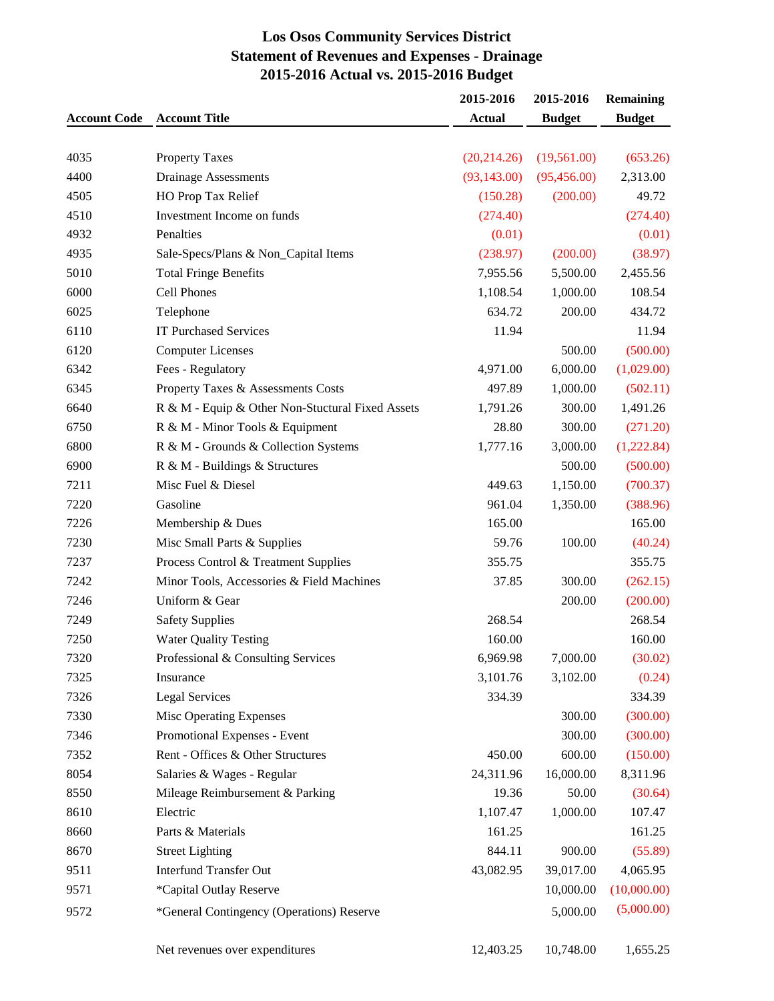# **Los Osos Community Services District Statement of Revenues and Expenses - Drainage 2015-2016 Actual vs. 2015-2016 Budget**

|                     |                                                  | 2015-2016     | 2015-2016     | <b>Remaining</b> |
|---------------------|--------------------------------------------------|---------------|---------------|------------------|
| <b>Account Code</b> | <b>Account Title</b>                             | <b>Actual</b> | <b>Budget</b> | <b>Budget</b>    |
|                     |                                                  |               |               |                  |
| 4035                | <b>Property Taxes</b>                            | (20, 214.26)  | (19,561.00)   | (653.26)         |
| 4400                | <b>Drainage Assessments</b>                      | (93, 143.00)  | (95, 456.00)  | 2,313.00         |
| 4505                | HO Prop Tax Relief                               | (150.28)      | (200.00)      | 49.72            |
| 4510                | Investment Income on funds                       | (274.40)      |               | (274.40)         |
| 4932                | Penalties                                        | (0.01)        |               | (0.01)           |
| 4935                | Sale-Specs/Plans & Non_Capital Items             | (238.97)      | (200.00)      | (38.97)          |
| 5010                | <b>Total Fringe Benefits</b>                     | 7,955.56      | 5,500.00      | 2,455.56         |
| 6000                | Cell Phones                                      | 1,108.54      | 1,000.00      | 108.54           |
| 6025                | Telephone                                        | 634.72        | 200.00        | 434.72           |
| 6110                | <b>IT Purchased Services</b>                     | 11.94         |               | 11.94            |
| 6120                | <b>Computer Licenses</b>                         |               | 500.00        | (500.00)         |
| 6342                | Fees - Regulatory                                | 4,971.00      | 6,000.00      | (1,029.00)       |
| 6345                | Property Taxes & Assessments Costs               | 497.89        | 1,000.00      | (502.11)         |
| 6640                | R & M - Equip & Other Non-Stuctural Fixed Assets | 1,791.26      | 300.00        | 1,491.26         |
| 6750                | R & M - Minor Tools & Equipment                  | 28.80         | 300.00        | (271.20)         |
| 6800                | R & M - Grounds & Collection Systems             | 1,777.16      | 3,000.00      | (1,222.84)       |
| 6900                | R & M - Buildings & Structures                   |               | 500.00        | (500.00)         |
| 7211                | Misc Fuel & Diesel                               | 449.63        | 1,150.00      | (700.37)         |
| 7220                | Gasoline                                         | 961.04        | 1,350.00      | (388.96)         |
| 7226                | Membership & Dues                                | 165.00        |               | 165.00           |
| 7230                | Misc Small Parts & Supplies                      | 59.76         | 100.00        | (40.24)          |
| 7237                | Process Control & Treatment Supplies             | 355.75        |               | 355.75           |
| 7242                | Minor Tools, Accessories & Field Machines        | 37.85         | 300.00        | (262.15)         |
| 7246                | Uniform & Gear                                   |               | 200.00        | (200.00)         |
| 7249                | <b>Safety Supplies</b>                           | 268.54        |               | 268.54           |
| 7250                | <b>Water Quality Testing</b>                     | 160.00        |               | 160.00           |
| 7320                | Professional & Consulting Services               | 6,969.98      | 7,000.00      | (30.02)          |
| 7325                | Insurance                                        | 3,101.76      | 3,102.00      | (0.24)           |
| 7326                | <b>Legal Services</b>                            | 334.39        |               | 334.39           |
| 7330                | Misc Operating Expenses                          |               | 300.00        | (300.00)         |
| 7346                | Promotional Expenses - Event                     |               | 300.00        | (300.00)         |
| 7352                | Rent - Offices & Other Structures                | 450.00        | 600.00        | (150.00)         |
| 8054                | Salaries & Wages - Regular                       | 24,311.96     | 16,000.00     | 8,311.96         |
| 8550                | Mileage Reimbursement & Parking                  | 19.36         | 50.00         | (30.64)          |
| 8610                | Electric                                         | 1,107.47      | 1,000.00      | 107.47           |
| 8660                | Parts & Materials                                | 161.25        |               | 161.25           |
| 8670                | <b>Street Lighting</b>                           | 844.11        | 900.00        | (55.89)          |
| 9511                | <b>Interfund Transfer Out</b>                    | 43,082.95     | 39,017.00     | 4,065.95         |
| 9571                | *Capital Outlay Reserve                          |               | 10,000.00     | (10,000.00)      |
|                     |                                                  |               |               | (5,000.00)       |
| 9572                | *General Contingency (Operations) Reserve        |               | 5,000.00      |                  |
|                     |                                                  |               |               |                  |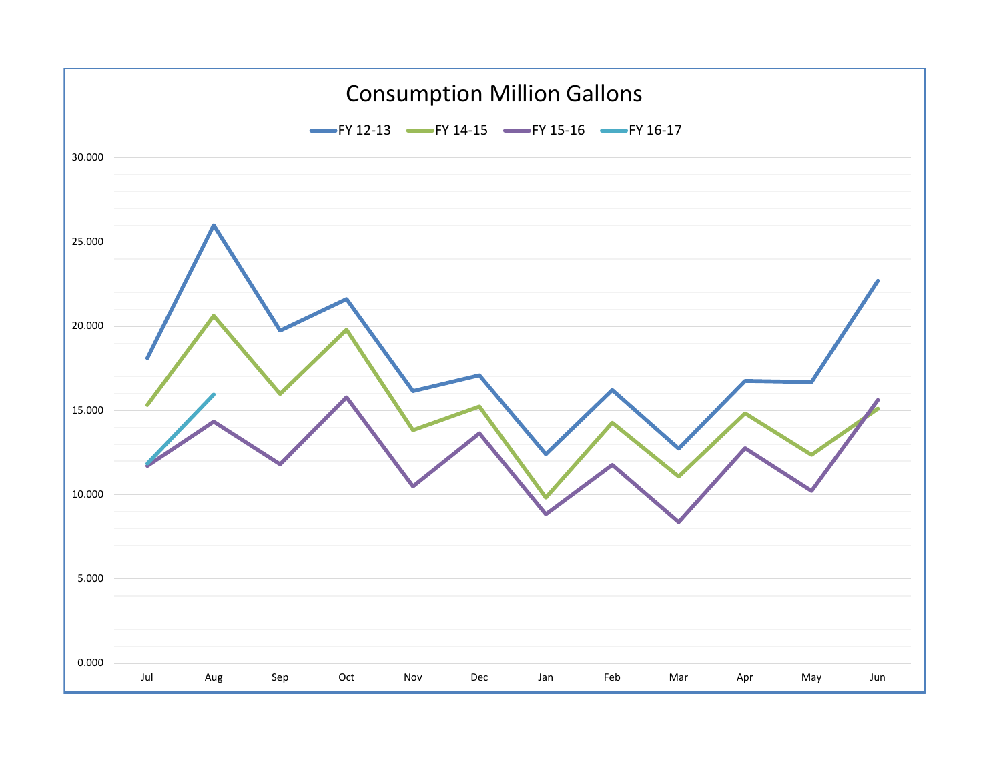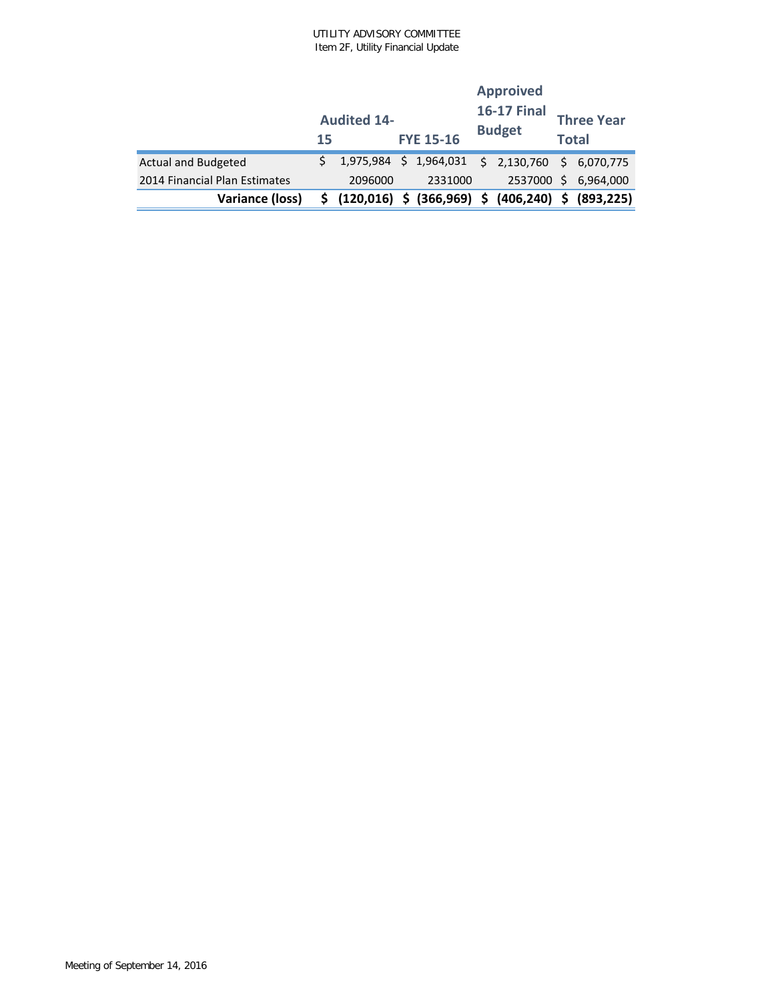|                               | 15 | <b>Audited 14-</b> | <b>FYE 15-16</b>             | <b>Approived</b><br><b>16-17 Final</b><br><b>Budget</b> | <b>Three Year</b><br><b>Total</b> |            |  |
|-------------------------------|----|--------------------|------------------------------|---------------------------------------------------------|-----------------------------------|------------|--|
| <b>Actual and Budgeted</b>    |    |                    | 1,975,984 \$ 1,964,031       | $$2,130,760$ \$ 6,070,775                               |                                   |            |  |
| 2014 Financial Plan Estimates |    | 2096000            | 2331000                      | 2537000 \$                                              |                                   | 6.964.000  |  |
| Variance (loss)               |    |                    | \$ (120,016) \$ (366,969) \$ | $(406, 240)$ \$                                         |                                   | (893, 225) |  |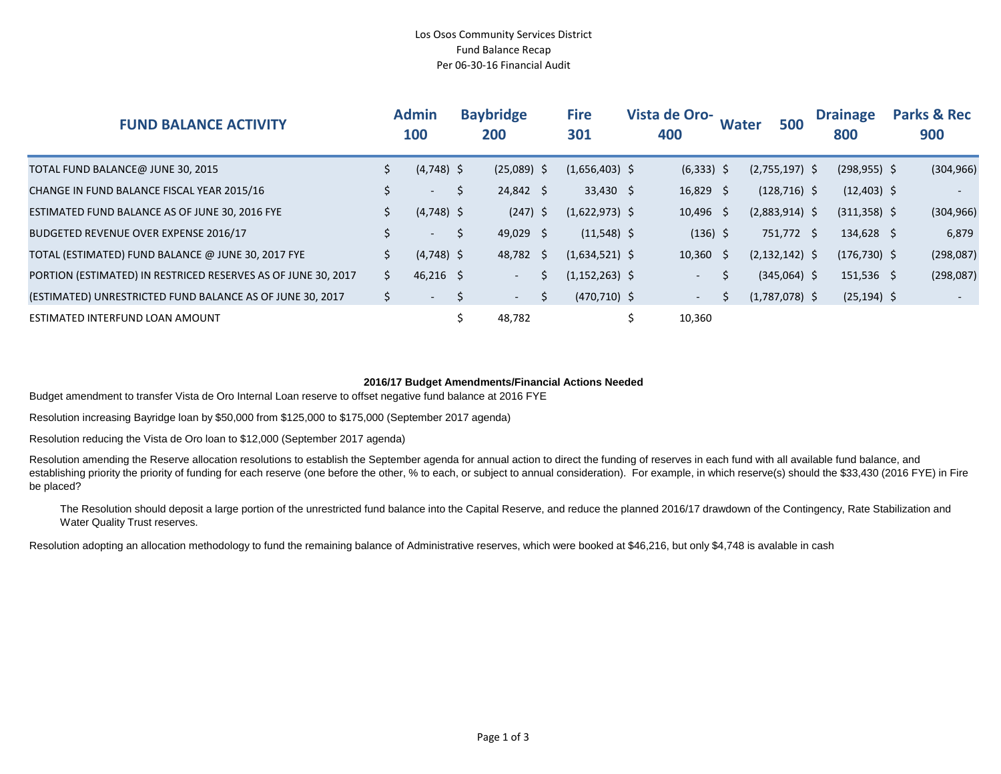#### Los Osos Community Services District Fund Balance Recap Per 06-30-16 Financial Audit

| <b>FUND BALANCE ACTIVITY</b>                                  |              | <b>Admin</b><br>100 |             | <b>Baybridge</b><br>200 |   | <b>Fire</b><br>301 | <b>Vista de Oro-</b><br>400 |              | <b>Water</b> |  | 500                | <b>Drainage</b><br>800 | <b>Parks &amp; Rec</b><br>900 |  |
|---------------------------------------------------------------|--------------|---------------------|-------------|-------------------------|---|--------------------|-----------------------------|--------------|--------------|--|--------------------|------------------------|-------------------------------|--|
| TOTAL FUND BALANCE@ JUNE 30, 2015                             | \$.          | $(4,748)$ \$        |             | $(25,089)$ \$           |   | $(1,656,403)$ \$   |                             | $(6,333)$ \$ |              |  | $(2,755,197)$ \$   | $(298, 955)$ \$        | (304, 966)                    |  |
| CHANGE IN FUND BALANCE FISCAL YEAR 2015/16                    | \$           | $\sim$ 100 $\mu$    | \$          | $24,842 \div$           |   | $33,430$ \$        |                             | $16,829$ \$  |              |  | $(128, 716)$ \$    | $(12,403)$ \$          | $\overline{\phantom{0}}$      |  |
| ESTIMATED FUND BALANCE AS OF JUNE 30, 2016 FYE                | \$           | $(4,748)$ \$        |             | $(247)$ \$              |   | $(1,622,973)$ \$   |                             | $10,496$ \$  |              |  | $(2,883,914)$ \$   | $(311,358)$ \$         | (304, 966)                    |  |
| BUDGETED REVENUE OVER EXPENSE 2016/17                         | \$           | $\sim$ 10 $\pm$     | $\zeta$     | $49,029$ \$             |   | $(11,548)$ \$      |                             | $(136)$ \$   |              |  | 751,772 \$         | $134,628$ \$           | 6,879                         |  |
| TOTAL (ESTIMATED) FUND BALANCE @ JUNE 30, 2017 FYE            | \$           | $(4,748)$ \$        |             | 48,782 \$               |   | $(1,634,521)$ \$   |                             | $10,360$ \$  |              |  | $(2, 132, 142)$ \$ | $(176, 730)$ \$        | (298,087)                     |  |
| PORTION (ESTIMATED) IN RESTRICED RESERVES AS OF JUNE 30, 2017 | $\mathsf{S}$ | $46,216$ \$         |             | $\sim$                  |   | $(1, 152, 263)$ \$ |                             | $\sim$       | \$           |  | $(345,064)$ \$     | $151,536$ \$           | (298,087)                     |  |
| (ESTIMATED) UNRESTRICTED FUND BALANCE AS OF JUNE 30, 2017     | $\zeta$      | $\sim$              | $\varsigma$ | $\sim$                  | Ŝ | $(470, 710)$ \$    |                             | $\sim 100$   |              |  | $(1,787,078)$ \$   | $(25, 194)$ \$         |                               |  |
| ESTIMATED INTERFUND LOAN AMOUNT                               |              |                     |             | 48,782                  |   |                    | Ś                           | 10,360       |              |  |                    |                        |                               |  |

#### **2016/17 Budget Amendments/Financial Actions Needed**

Budget amendment to transfer Vista de Oro Internal Loan reserve to offset negative fund balance at 2016 FYE

Resolution increasing Bayridge loan by \$50,000 from \$125,000 to \$175,000 (September 2017 agenda)

Resolution reducing the Vista de Oro loan to \$12,000 (September 2017 agenda)

Resolution amending the Reserve allocation resolutions to establish the September agenda for annual action to direct the funding of reserves in each fund with all available fund balance, and establishing priority the priority of funding for each reserve (one before the other, % to each, or subject to annual consideration). For example, in which reserve(s) should the \$33,430 (2016 FYE) in Fire be placed?

The Resolution should deposit a large portion of the unrestricted fund balance into the Capital Reserve, and reduce the planned 2016/17 drawdown of the Contingency, Rate Stabilization and Water Quality Trust reserves.

Resolution adopting an allocation methodology to fund the remaining balance of Administrative reserves, which were booked at \$46,216, but only \$4,748 is avalable in cash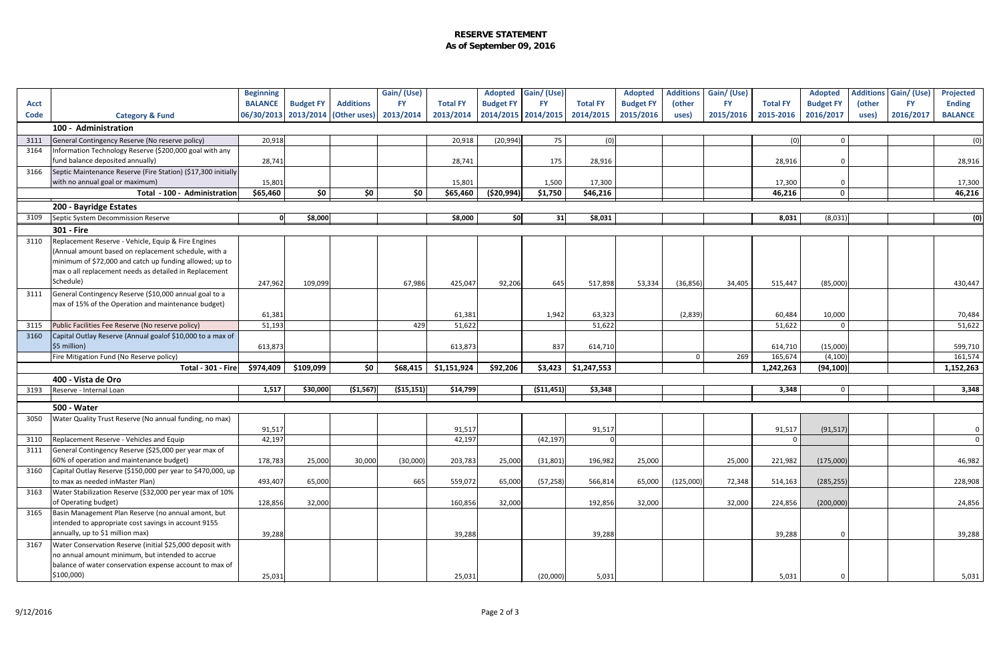#### **RESERVE STATEMENT As of September 09, 2016**

|             |                                                                                                             | <b>Beginning</b>                  |                  |                  | Gain/(Use)   |                 |                     | Adopted Gain/(Use) |                 | <b>Adopted</b>   | <b>Additions</b> | Gain/(Use) |                 | <b>Adopted</b>   |        | <b>Additions Gain/ (Use)</b> | <b>Projected</b> |
|-------------|-------------------------------------------------------------------------------------------------------------|-----------------------------------|------------------|------------------|--------------|-----------------|---------------------|--------------------|-----------------|------------------|------------------|------------|-----------------|------------------|--------|------------------------------|------------------|
| <b>Acct</b> |                                                                                                             | <b>BALANCE</b>                    | <b>Budget FY</b> | <b>Additions</b> | <b>FY</b>    | <b>Total FY</b> | <b>Budget FY</b>    | <b>FY</b>          | <b>Total FY</b> | <b>Budget FY</b> | (other           | <b>FY</b>  | <b>Total FY</b> | <b>Budget FY</b> | (other | <b>FY</b>                    | <b>Ending</b>    |
| <b>Code</b> | <b>Category &amp; Fund</b>                                                                                  | 06/30/2013 2013/2014 (Other uses) |                  |                  | 2013/2014    | 2013/2014       | 2014/2015 2014/2015 |                    | 2014/2015       | 2015/2016        | uses)            | 2015/2016  | 2015-2016       | 2016/2017        | uses)  | 2016/2017                    | <b>BALANCE</b>   |
|             | 100 - Administration                                                                                        |                                   |                  |                  |              |                 |                     |                    |                 |                  |                  |            |                 |                  |        |                              |                  |
| 3111        | General Contingency Reserve (No reserve policy)                                                             | 20,918                            |                  |                  |              | 20,918          | (20, 994)           | 75                 | (0)             |                  |                  |            | (0)             | $\Omega$         |        |                              | (0)              |
| 3164        | Information Technology Reserve (\$200,000 goal with any                                                     |                                   |                  |                  |              |                 |                     |                    |                 |                  |                  |            |                 |                  |        |                              |                  |
|             | fund balance deposited annually)                                                                            | 28,741                            |                  |                  |              | 28,741          |                     | 175                | 28,916          |                  |                  |            | 28,916          |                  |        |                              | 28,916           |
| 3166        | Septic Maintenance Reserve (Fire Station) (\$17,300 initially                                               |                                   |                  |                  |              |                 |                     |                    |                 |                  |                  |            |                 |                  |        |                              |                  |
|             | with no annual goal or maximum)                                                                             | 15,801                            |                  |                  |              | 15,801          |                     | 1,500              | 17,300          |                  |                  |            | 17,300          |                  |        |                              | 17,300           |
|             | Total - 100 - Administration                                                                                | \$65,460                          | \$0              | \$0              | \$0          | \$65,460        | (\$20,994)          | \$1,750            | \$46,216        |                  |                  |            | 46,216          | $\Omega$         |        |                              | 46,216           |
| 3109        | 200 - Bayridge Estates                                                                                      | - Ol                              |                  |                  |              |                 |                     |                    |                 |                  |                  |            |                 |                  |        |                              |                  |
|             | Septic System Decommission Reserve                                                                          |                                   | \$8,000          |                  |              | \$8,000         | \$0]                | 31                 | \$8,031         |                  |                  |            | 8,031           | (8,031)          |        |                              | (0)              |
|             | 301 - Fire                                                                                                  |                                   |                  |                  |              |                 |                     |                    |                 |                  |                  |            |                 |                  |        |                              |                  |
| 3110        | Replacement Reserve - Vehicle, Equip & Fire Engines<br>(Annual amount based on replacement schedule, with a |                                   |                  |                  |              |                 |                     |                    |                 |                  |                  |            |                 |                  |        |                              |                  |
|             | minimum of \$72,000 and catch up funding allowed; up to                                                     |                                   |                  |                  |              |                 |                     |                    |                 |                  |                  |            |                 |                  |        |                              |                  |
|             | max o all replacement needs as detailed in Replacement                                                      |                                   |                  |                  |              |                 |                     |                    |                 |                  |                  |            |                 |                  |        |                              |                  |
|             | Schedule)                                                                                                   | 247,962                           | 109,099          |                  | 67,986       | 425,047         | 92,206              | 645                | 517,898         | 53,334           | (36, 856)        | 34,405     | 515,447         | (85,000)         |        |                              | 430,447          |
| 3111        | General Contingency Reserve (\$10,000 annual goal to a                                                      |                                   |                  |                  |              |                 |                     |                    |                 |                  |                  |            |                 |                  |        |                              |                  |
|             | max of 15% of the Operation and maintenance budget)                                                         |                                   |                  |                  |              |                 |                     |                    |                 |                  |                  |            |                 |                  |        |                              |                  |
|             |                                                                                                             | 61,381                            |                  |                  |              | 61,381          |                     | 1,942              | 63,323          |                  | (2,839)          |            | 60,484          | 10,000           |        |                              | 70,484           |
| 3115        | Public Facilities Fee Reserve (No reserve policy)                                                           | 51,193                            |                  |                  | 429          | 51,622          |                     |                    | 51,622          |                  |                  |            | 51,622          |                  |        |                              | 51,622           |
| 3160        | Capital Outlay Reserve (Annual goalof \$10,000 to a max of                                                  |                                   |                  |                  |              |                 |                     |                    |                 |                  |                  |            |                 |                  |        |                              |                  |
|             | \$5 million)                                                                                                | 613,873                           |                  |                  |              | 613,873         |                     | 837                | 614,710         |                  |                  |            | 614,710         | (15,000)         |        |                              | 599,710          |
|             | Fire Mitigation Fund (No Reserve policy)                                                                    |                                   |                  |                  |              |                 |                     |                    |                 |                  | - 0              | 269        | 165,674         | (4, 100)         |        |                              | 161,574          |
|             | Total - 301 - Fire                                                                                          | \$974,409                         | \$109,099        | \$0              | \$68,415     | \$1,151,924     | \$92,206            | \$3,423            | \$1,247,553     |                  |                  |            | 1,242,263       | (94, 100)        |        |                              | 1,152,263        |
|             | 400 - Vista de Oro                                                                                          |                                   |                  |                  |              |                 |                     |                    |                 |                  |                  |            |                 |                  |        |                              |                  |
| 3193        | Reserve - Internal Loan                                                                                     | 1,517                             | \$30,000         | ( \$1,567)       | ( \$15, 151) | \$14,799        |                     | ( \$11,451]        | \$3,348         |                  |                  |            | 3,348           |                  |        |                              | 3,348            |
|             | <b>500 - Water</b>                                                                                          |                                   |                  |                  |              |                 |                     |                    |                 |                  |                  |            |                 |                  |        |                              |                  |
| 3050        | Water Quality Trust Reserve (No annual funding, no max)                                                     |                                   |                  |                  |              |                 |                     |                    |                 |                  |                  |            |                 |                  |        |                              |                  |
|             |                                                                                                             | 91,517                            |                  |                  |              | 91,517          |                     |                    | 91,517          |                  |                  |            | 91,517          | (91, 517)        |        |                              |                  |
| 3110        | Replacement Reserve - Vehicles and Equip                                                                    | 42,197                            |                  |                  |              | 42,197          |                     | (42, 197)          |                 |                  |                  |            | $\Omega$        |                  |        |                              | $\circ$          |
| 3111        | General Contingency Reserve (\$25,000 per year max of                                                       |                                   |                  |                  |              |                 |                     |                    |                 |                  |                  |            |                 |                  |        |                              |                  |
|             | 60% of operation and maintenance budget)                                                                    | 178,783                           | 25,000           | 30,000           | (30,000)     | 203,783         | 25,000              | (31, 801)          | 196,982         | 25,000           |                  | 25,000     | 221,982         | (175,000)        |        |                              | 46,982           |
| 3160        | Capital Outlay Reserve (\$150,000 per year to \$470,000, up                                                 |                                   |                  |                  |              |                 |                     |                    |                 |                  |                  |            |                 |                  |        |                              |                  |
|             | to max as needed inMaster Plan)                                                                             | 493,407                           | 65,000           |                  | 665          | 559,072         | 65,000              | (57, 258)          | 566,814         | 65,000           | (125,000)        | 72,348     | 514,163         | (285, 255)       |        |                              | 228,908          |
| 3163        | Water Stabilization Reserve (\$32,000 per year max of 10%                                                   |                                   |                  |                  |              |                 |                     |                    |                 |                  |                  |            |                 |                  |        |                              |                  |
| 3165        | of Operating budget)<br>Basin Management Plan Reserve (no annual amont, but                                 | 128,856                           | 32,000           |                  |              | 160,856         | 32,000              |                    | 192,856         | 32,000           |                  | 32,000     | 224,856         | (200,000)        |        |                              | 24,856           |
|             | intended to appropriate cost savings in account 9155                                                        |                                   |                  |                  |              |                 |                     |                    |                 |                  |                  |            |                 |                  |        |                              |                  |
|             | annually, up to \$1 million max)                                                                            | 39,288                            |                  |                  |              | 39,288          |                     |                    | 39,288          |                  |                  |            | 39,288          | $\Omega$         |        |                              | 39,288           |
| 3167        | Water Conservation Reserve (initial \$25,000 deposit with                                                   |                                   |                  |                  |              |                 |                     |                    |                 |                  |                  |            |                 |                  |        |                              |                  |
|             | no annual amount minimum, but intended to accrue                                                            |                                   |                  |                  |              |                 |                     |                    |                 |                  |                  |            |                 |                  |        |                              |                  |
|             | balance of water conservation expense account to max of                                                     |                                   |                  |                  |              |                 |                     |                    |                 |                  |                  |            |                 |                  |        |                              |                  |
|             | \$100,000)                                                                                                  | 25,031                            |                  |                  |              | 25,031          |                     | (20,000)           | 5,031           |                  |                  |            | 5,031           |                  |        |                              | 5,031            |